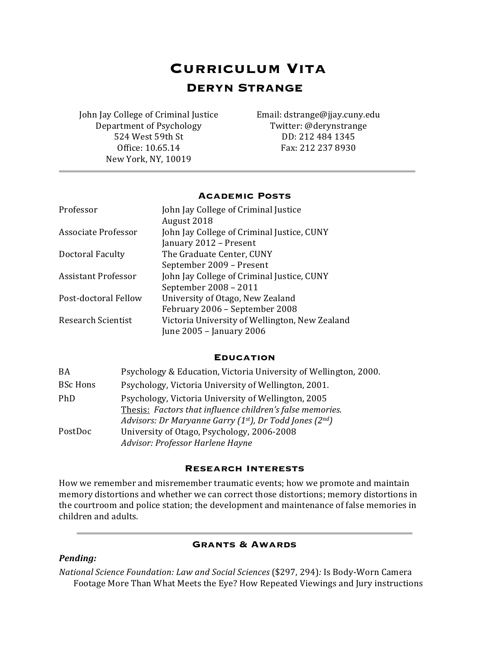# **Curriculum Vita DERYN STRANGE**

John Jay College of Criminal Justice Email: dstrange@jjay.cuny.edu Department of Psychology Twitter: @derynstrange 524 West 59th St DD: 212 484 1345 New York, NY, 10019

Office: 10.65.14 Fax: 212 237 8930

# **Academic Posts**

| Professor                 | John Jay College of Criminal Justice           |
|---------------------------|------------------------------------------------|
|                           | August 2018                                    |
| Associate Professor       | John Jay College of Criminal Justice, CUNY     |
|                           | January 2012 - Present                         |
| Doctoral Faculty          | The Graduate Center, CUNY                      |
|                           | September 2009 - Present                       |
| Assistant Professor       | John Jay College of Criminal Justice, CUNY     |
|                           | September 2008 - 2011                          |
| Post-doctoral Fellow      | University of Otago, New Zealand               |
|                           | February 2006 - September 2008                 |
| <b>Research Scientist</b> | Victoria University of Wellington, New Zealand |
|                           | June 2005 - January 2006                       |

# **Education**

| <b>BA</b>       | Psychology & Education, Victoria University of Wellington, 2000.                                                                                                           |
|-----------------|----------------------------------------------------------------------------------------------------------------------------------------------------------------------------|
| <b>BSc Hons</b> | Psychology, Victoria University of Wellington, 2001.                                                                                                                       |
| PhD             | Psychology, Victoria University of Wellington, 2005<br>Thesis: Factors that influence children's false memories.<br>Advisors: Dr Maryanne Garry (1st), Dr Todd Jones (2nd) |
| PostDoc         | University of Otago, Psychology, 2006-2008<br>Advisor: Professor Harlene Hayne                                                                                             |

# **Research interests**

How we remember and misremember traumatic events; how we promote and maintain memory distortions and whether we can correct those distortions; memory distortions in the courtroom and police station; the development and maintenance of false memories in children and adults.

# **Grants & Awards**

# *Pending:*

*National Science Foundation: Law and Social Sciences* (\$297, 294): Is Body-Worn Camera Footage More Than What Meets the Eye? How Repeated Viewings and Jury instructions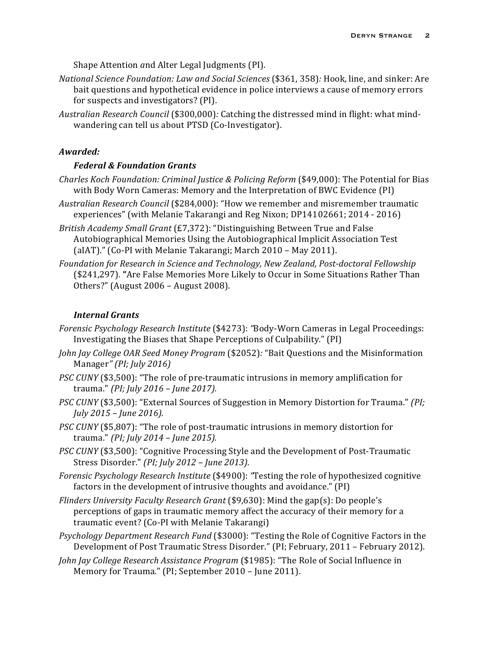Shape Attention *a*nd Alter Legal Judgments (PI).

- *National Science Foundation: Law and Social Sciences* (\$361, 358)*:* Hook, line, and sinker: Are bait questions and hypothetical evidence in police interviews a cause of memory errors for suspects and investigators? (PI).
- *Australian Research Council* (\$300,000)*:* Catching the distressed mind in flight: what mindwandering can tell us about PTSD (Co-Investigator).

#### *Awarded:*

# *Federal & Foundation Grants*

- *Charles Koch Foundation: Criminal Justice & Policing Reform* (\$49,000): The Potential for Bias with Body Worn Cameras: Memory and the Interpretation of BWC Evidence (PI)
- *Australian Research Council* (\$284,000): "How we remember and misremember traumatic experiences" (with Melanie Takarangi and Reg Nixon; DP14102661; 2014 - 2016)
- *British Academy Small Grant* (£7,372): "Distinguishing Between True and False Autobiographical Memories Using the Autobiographical Implicit Association Test (aIAT)." (Co-PI with Melanie Takarangi; March  $2010$  – May 2011).
- Foundation for Research in Science and Technology, New Zealand, Post-doctoral Fellowship (\$241,297). "Are False Memories More Likely to Occur in Some Situations Rather Than Others?" (August 2006 - August 2008).

### *Internal Grants*

- *Forensic Psychology Research Institute* (\$4273): *"Body-Worn Cameras* in Legal Proceedings: Investigating the Biases that Shape Perceptions of Culpability." (PI)
- *John Jay College OAR Seed Money Program* (\$2052): "Bait Questions and the Misinformation Manager*" (PI; July 2016)*
- *PSC CUNY* (\$3,500): "The role of pre-traumatic intrusions in memory amplification for trauma." *(PI; July 2016 – June 2017).*
- *PSC CUNY* (\$3,500): "External Sources of Suggestion in Memory Distortion for Trauma." *(PI; July 2015 – June 2016).*
- *PSC CUNY* (\$5,807): "The role of post-traumatic intrusions in memory distortion for trauma." *(PI; July 2014 – June 2015).*
- *PSC CUNY* (\$3,500): "Cognitive Processing Style and the Development of Post-Traumatic Stress Disorder." *(PI; July 2012 – June 2013).*
- *Forensic Psychology Research Institute* (\$4900): "Testing the role of hypothesized cognitive factors in the development of intrusive thoughts and avoidance."  $(PI)$
- *Flinders University Faculty Research Grant* (\$9,630): Mind the gap(s): Do people's perceptions of gaps in traumatic memory affect the accuracy of their memory for a traumatic event? (Co-PI with Melanie Takarangi)
- *Psychology Department Research Fund* (\$3000): "Testing the Role of Cognitive Factors in the Development of Post Traumatic Stress Disorder." (PI; February, 2011 – February 2012).
- *John Jay College Research Assistance Program* (\$1985): "The Role of Social Influence in Memory for Trauma." (PI; September 2010 - June 2011).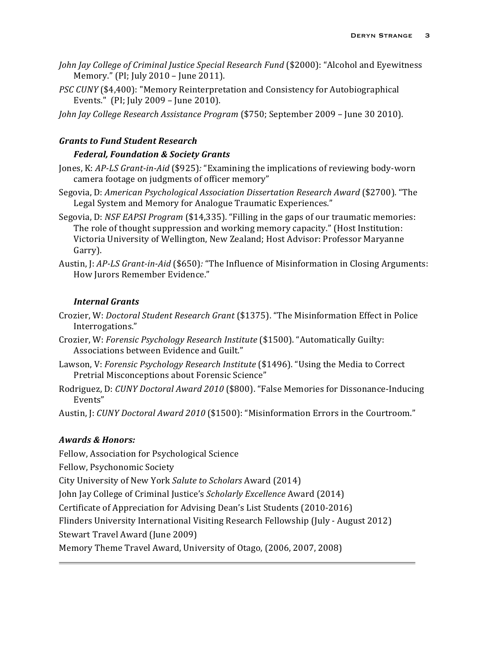- *John Jay College of Criminal Justice Special Research Fund* (\$2000): "Alcohol and Eyewitness Memory." (PI; July 2010 - June 2011).
- *PSC CUNY* (\$4,400): "Memory Reinterpretation and Consistency for Autobiographical Events." (PI; July  $2009$  – June  $2010$ ).
- *John Jay College Research Assistance Program* (\$750; September 2009 June 30 2010).

# *Grants to Fund Student Research*

# *Federal, Foundation & Society Grants*

- Jones, K: *AP-LS Grant-in-Aid* (\$925): "Examining the implications of reviewing body-worn camera footage on judgments of officer memory"
- Segovia, D: *American Psychological Association Dissertation Research Award* (\$2700). "The Legal System and Memory for Analogue Traumatic Experiences."
- Segovia, D: *NSF EAPSI Program* (\$14,335). "Filling in the gaps of our traumatic memories: The role of thought suppression and working memory capacity." (Host Institution: Victoria University of Wellington, New Zealand; Host Advisor: Professor Maryanne Garry).
- Austin, J: *AP-LS Grant-in-Aid* (\$650)*:* "The Influence of Misinformation in Closing Arguments: How Jurors Remember Evidence."

# *Internal Grants*

- Crozier, W: *Doctoral Student Research Grant* (\$1375). "The Misinformation Effect in Police Interrogations."
- Crozier, W: *Forensic Psychology Research Institute* (\$1500). "Automatically Guilty: Associations between Evidence and Guilt."
- Lawson, V: Forensic Psychology Research Institute (\$1496). "Using the Media to Correct Pretrial Misconceptions about Forensic Science"
- Rodriguez, D: *CUNY Doctoral Award 2010* (\$800). "False Memories for Dissonance-Inducing Events"

Austin, J: *CUNY Doctoral Award 2010* (\$1500): "Misinformation Errors in the Courtroom."

# *Awards & Honors:*

Fellow, Association for Psychological Science

Fellow, Psychonomic Society

City University of New York *Salute to Scholars* Award (2014)

John Jay College of Criminal Justice's *Scholarly Excellence* Award (2014)

Certificate of Appreciation for Advising Dean's List Students (2010-2016)

Flinders University International Visiting Research Fellowship (July - August 2012)

Stewart Travel Award (June 2009)

Memory Theme Travel Award, University of Otago, (2006, 2007, 2008)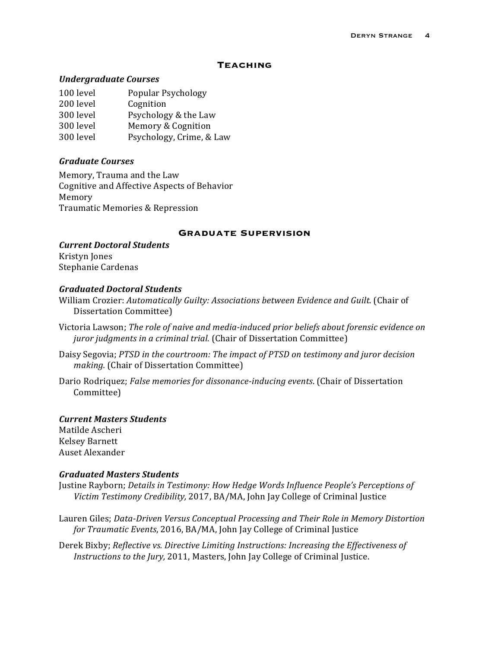# **Teaching**

## *Undergraduate Courses*

| 100 level | Popular Psychology       |
|-----------|--------------------------|
| 200 level | Cognition                |
| 300 level | Psychology & the Law     |
| 300 level | Memory & Cognition       |
| 300 level | Psychology, Crime, & Law |
|           |                          |

# *Graduate Courses*

Memory, Trauma and the Law Cognitive and Affective Aspects of Behavior Memory Traumatic Memories & Repression

#### **Graduate supervision**

*Current Doctoral Students* Kristyn Jones Stephanie Cardenas

# *Graduated Doctoral Students*

William Crozier: Automatically Guilty: Associations between Evidence and Guilt. (Chair of Dissertation Committee)

- Victoria Lawson; *The role of naive and media-induced prior beliefs about forensic evidence on juror judgments in a criminal trial.* (Chair of Dissertation Committee)
- Daisy Segovia; PTSD in the courtroom: The impact of PTSD on testimony and juror decision *making.* (Chair of Dissertation Committee)
- Dario Rodriquez; *False memories for dissonance-inducing events*. (Chair of Dissertation Committee)

# *Current Masters Students*

Matilde Ascheri Kelsey Barnett Auset Alexander

## *Graduated Masters Students*

- Justine Rayborn; *Details in Testimony: How Hedge Words Influence People's Perceptions of Victim Testimony Credibility,* 2017, BA/MA, John Jay College of Criminal Justice
- Lauren Giles; Data-Driven Versus Conceptual Processing and Their Role in Memory Distortion *for Traumatic Events,* 2016, BA/MA, John Jay College of Criminal Justice

Derek Bixby; *Reflective vs. Directive Limiting Instructions: Increasing the Effectiveness of Instructions to the Jury,* 2011, Masters, John Jay College of Criminal Justice.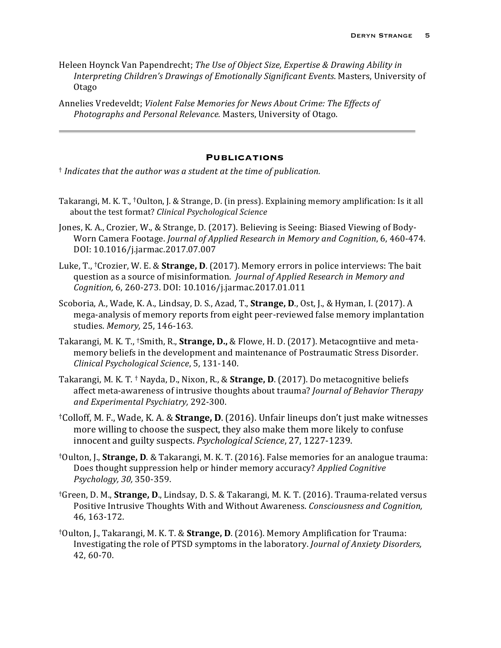Heleen Hoynck Van Papendrecht; *The Use of Object Size, Expertise & Drawing Ability in* Interpreting Children's Drawings of Emotionally Significant Events. Masters, University of Otago

Annelies Vredeveldt; *Violent False Memories for News About Crime: The Effects of Photographs and Personal Relevance.* Masters, University of Otago.

#### **Publications**

<sup>†</sup> *Indicates that the author was a student at the time of publication.* 

- Takarangi, M. K. T., <sup>†</sup>Oulton, J. & Strange, D. (in press). Explaining memory amplification: Is it all about the test format? *Clinical Psychological Science*
- Jones, K. A., Crozier, W., & Strange, D. (2017). Believing is Seeing: Biased Viewing of Body-Worn Camera Footage. *Journal of Applied Research in Memory and Cognition*, 6, 460-474. DOI: 10.1016/j.jarmac.2017.07.007
- Luke, T., <sup>†</sup>Crozier, W. E. & **Strange, D.** (2017). Memory errors in police interviews: The bait question as a source of misinformation. *Journal of Applied Research in Memory and Cognition,* 6, 260-273. DOI: 10.1016/j.jarmac.2017.01.011
- Scoboria, A., Wade, K. A., Lindsay, D. S., Azad, T., **Strange, D.**, Ost, J., & Hyman, I. (2017). A mega-analysis of memory reports from eight peer-reviewed false memory implantation studies. *Memory,* 25, 146-163*.*
- Takarangi, M. K. T., <sup>†</sup>Smith, R., **Strange, D.,** & Flowe, H. D. (2017). Metacogntiive and metamemory beliefs in the development and maintenance of Postraumatic Stress Disorder. *Clinical Psychological Science*, 5, 131-140.
- Takarangi, M. K. T. <sup>†</sup> Nayda, D., Nixon, R., & **Strange, D.** (2017). Do metacognitive beliefs affect meta-awareness of intrusive thoughts about trauma? *Journal of Behavior Therapy and Experimental Psychiatry,* 292-300.
- <sup>†</sup>Colloff, M. F., Wade, K. A. & **Strange, D**. (2016). Unfair lineups don't just make witnesses more willing to choose the suspect, they also make them more likely to confuse innocent and guilty suspects. *Psychological Science*, 27, 1227-1239.
- <sup>†</sup>Oulton, J., **Strange, D**. & Takarangi, M. K. T. (2016). False memories for an analogue trauma: Does thought suppression help or hinder memory accuracy? *Applied Cognitive Psychology, 30,* 350-359.
- <sup>†</sup>Green, D. M., **Strange, D**., Lindsay, D. S. & Takarangi, M. K. T. (2016). Trauma-related versus Positive Intrusive Thoughts With and Without Awareness. *Consciousness and Cognition*, 46, 163-172.
- <sup>†</sup>Oulton, J., Takarangi, M. K. T. & **Strange, D.** (2016). Memory Amplification for Trauma: Investigating the role of PTSD symptoms in the laboratory. *Journal of Anxiety Disorders*, 42, 60-70.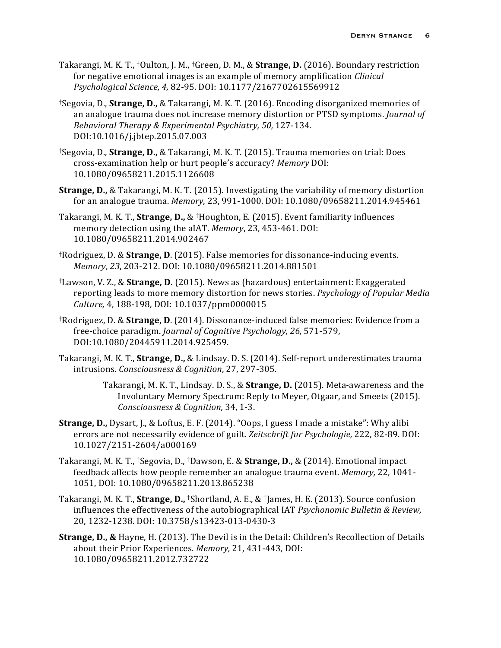- Takarangi, M. K. T., <sup>†</sup>Oulton, J. M., <sup>†</sup>Green, D. M., & **Strange, D.** (2016). Boundary restriction for negative emotional images is an example of memory amplification *Clinical Psychological Science, 4,* 82-95*.* DOI: 10.1177/2167702615569912
- <sup>†</sup>Segovia, D., **Strange, D.,** & Takarangi, M. K. T. (2016). Encoding disorganized memories of an analogue trauma does not increase memory distortion or PTSD symptoms. *Journal of Behavioral Therapy & Experimental Psychiatry, 50, 127-134.* DOI:10.1016/j.jbtep.2015.07.003
- †Segovia, D., **Strange, D.,** & Takarangi, M. K. T. (2015). Trauma memories on trial: Does cross-examination help or hurt people's accuracy? *Memory* DOI: 10.1080/09658211.2015.1126608
- **Strange, D.,** & Takarangi, M. K. T. (2015). Investigating the variability of memory distortion for an analogue trauma. *Memory*, 23, 991-1000. DOI: 10.1080/09658211.2014.945461
- Takarangi, M. K. T., **Strange, D.,** & <sup>†</sup>Houghton, E. (2015). Event familiarity influences memory detection using the aIAT. Memory, 23, 453-461. DOI: 10.1080/09658211.2014.902467
- <sup>†</sup>Rodriguez, D. & **Strange, D.** (2015). False memories for dissonance-inducing events. *Memory*, *23*, 203-212. DOI: 10.1080/09658211.2014.881501
- <sup>†</sup>Lawson, V. Z., & **Strange, D.** (2015). News as (hazardous) entertainment: Exaggerated reporting leads to more memory distortion for news stories. *Psychology of Popular Media Culture,* 4, 188-198*,* DOI: 10.1037/ppm0000015
- <sup>†</sup>Rodriguez, D. & **Strange, D.** (2014). Dissonance-induced false memories: Evidence from a free-choice paradigm. *Journal of Cognitive Psychology, 26,* 571-579, DOI:10.1080/20445911.2014.925459.
- Takarangi, M. K. T., **Strange, D.,** & Lindsay. D. S. (2014). Self-report underestimates trauma intrusions. *Consciousness & Cognition*, 27, 297-305.

Takarangi, M. K. T., Lindsay. D. S., & **Strange, D.** (2015). Meta-awareness and the Involuntary Memory Spectrum: Reply to Meyer, Otgaar, and Smeets (2015). *Consciousness & Cognition,* 34, 1-3.

- **Strange, D.,** Dysart, J., & Loftus, E. F. (2014). "Oops, I guess I made a mistake": Why alibi errors are not necessarily evidence of guilt. Zeitschrift fur Psychologie, 222, 82-89. DOI: 10.1027/2151-2604/a000169
- Takarangi, M. K. T., <sup>†</sup>Segovia, D., <sup>†</sup>Dawson, E. & **Strange, D.,** & (2014). Emotional impact feedback affects how people remember an analogue trauma event. *Memory*, 22, 1041-1051, DOI: 10.1080/09658211.2013.865238
- Takarangi, M. K. T., **Strange, D.,** <sup>†</sup>Shortland, A. E., & <sup>†</sup>James, H. E. (2013). Source confusion influences the effectiveness of the autobiographical IAT *Psychonomic Bulletin & Review*, 20, 1232-1238*.* DOI: 10.3758/s13423-013-0430-3
- **Strange, D., &** Hayne, H. (2013). The Devil is in the Detail: Children's Recollection of Details about their Prior Experiences. *Memory*, 21, 431-443, DOI: 10.1080/09658211.2012.732722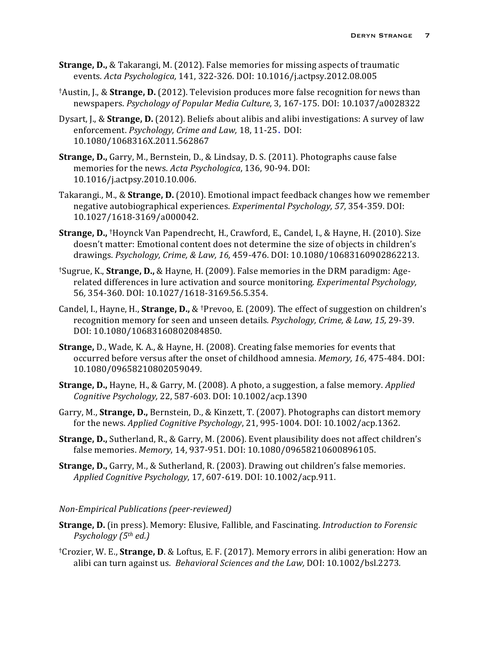- **Strange, D.,** & Takarangi, M. (2012). False memories for missing aspects of traumatic events. *Acta Psychologica,* 141, 322-326*.* DOI: 10.1016/j.actpsy.2012.08.005
- <sup>†</sup>Austin, J., & **Strange, D.** (2012). Television produces more false recognition for news than newspapers. *Psychology of Popular Media Culture,* 3, 167-175. DOI: 10.1037/a0028322
- Dysart, J., & **Strange, D.** (2012). Beliefs about alibis and alibi investigations: A survey of law enforcement. *Psychology, Crime and Law,* 18, 11-25. DOI: 10.1080/1068316X.2011.562867
- **Strange, D.,** Garry, M., Bernstein, D., & Lindsay, D. S. (2011). Photographs cause false memories for the news. *Acta Psychologica*, 136, 90-94. DOI: 10.1016/j.actpsy.2010.10.006.
- Takarangi., M., & **Strange, D.** (2010). Emotional impact feedback changes how we remember negative autobiographical experiences. *Experimental Psychology,* 57, 354-359. DOI: 10.1027/1618-3169/a000042.
- **Strange, D.,** †Hoynck Van Papendrecht, H., Crawford, E., Candel, I., & Hayne, H. (2010). Size doesn't matter: Emotional content does not determine the size of objects in children's drawings. *Psychology, Crime, & Law, 16,* 459-476. DOI: 10.1080/10683160902862213.
- <sup>†</sup>Sugrue, K., **Strange, D.,** & Hayne, H. (2009). False memories in the DRM paradigm: Agerelated differences in lure activation and source monitoring. *Experimental Psychology*, 56*,* 354-360. DOI: 10.1027/1618-3169.56.5.354.
- Candel, I., Hayne, H., **Strange, D.,** & <sup>†</sup>Prevoo, E. (2009). The effect of suggestion on children's recognition memory for seen and unseen details. *Psychology, Crime, & Law, 15, 29-39.* DOI: 10.1080/10683160802084850.
- **Strange,** D., Wade, K. A., & Hayne, H. (2008). Creating false memories for events that occurred before versus after the onset of childhood amnesia. *Memory, 16*, 475-484. DOI: 10.1080/09658210802059049.
- **Strange, D.,** Hayne, H., & Garry, M. (2008). A photo, a suggestion, a false memory. *Applied Cognitive Psychology,* 22, 587-603. DOI: 10.1002/acp.1390
- Garry, M., **Strange, D.,** Bernstein, D., & Kinzett, T. (2007). Photographs can distort memory for the news. *Applied Cognitive Psychology*, 21, 995-1004. DOI: 10.1002/acp.1362.
- **Strange, D.,** Sutherland, R., & Garry, M. (2006). Event plausibility does not affect children's false memories. Memory, 14, 937-951. DOI: 10.1080/09658210600896105.
- **Strange, D.,** Garry, M., & Sutherland, R. (2003). Drawing out children's false memories. *Applied Cognitive Psychology*, 17, 607-619. DOI: 10.1002/acp.911.

#### *Non-Empirical Publications (peer-reviewed)*

- **Strange, D.** (in press). Memory: Elusive, Fallible, and Fascinating. *Introduction to Forensic Psychology (5th ed.)*
- <sup>†</sup>Crozier, W. E., **Strange, D.** & Loftus, E. F. (2017). Memory errors in alibi generation: How an alibi can turn against us. *Behavioral Sciences and the Law*, DOI: 10.1002/bsl.2273.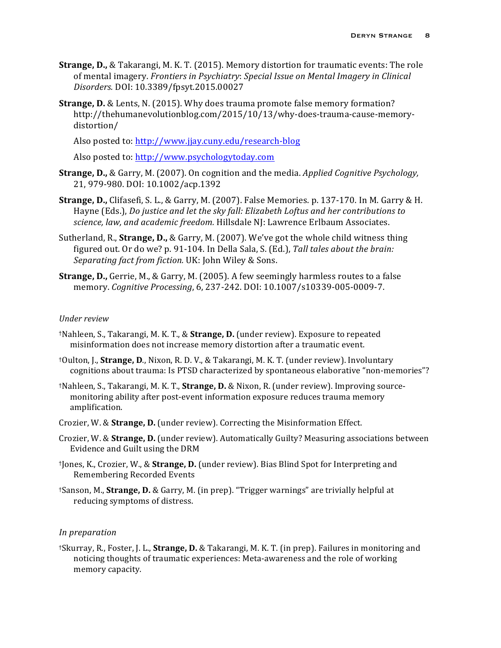- **Strange, D.,** & Takarangi, M. K. T. (2015). Memory distortion for traumatic events: The role of mental imagery. Frontiers in Psychiatry: Special Issue on Mental Imagery in Clinical *Disorders.* DOI: 10.3389/fpsyt.2015.00027
- **Strange, D.** & Lents, N. (2015). Why does trauma promote false memory formation? http://thehumanevolutionblog.com/2015/10/13/why-does-trauma-cause-memorydistortion/

Also posted to: http://www.jjay.cuny.edu/research-blog

Also posted to: http://www.psychologytoday.com

- **Strange, D.,** & Garry, M. (2007). On cognition and the media. *Applied Cognitive Psychology*, 21, 979-980. DOI: 10.1002/acp.1392
- **Strange, D.,** Clifasefi, S. L., & Garry, M. (2007). False Memories. p. 137-170. In M. Garry & H. Hayne (Eds.), *Do justice and let the sky fall: Elizabeth Loftus and her contributions to* science, law, and academic freedom. Hillsdale NJ: Lawrence Erlbaum Associates.
- Sutherland, R., **Strange, D.,** & Garry, M. (2007). We've got the whole child witness thing figured out. Or do we? p. 91-104. In Della Sala, S. (Ed.), Tall tales about the brain: Separating fact from fiction. UK: John Wiley & Sons.
- **Strange, D.,** Gerrie, M., & Garry, M. (2005). A few seemingly harmless routes to a false memory. *Cognitive Processing*, 6, 237-242. DOI: 10.1007/s10339-005-0009-7.

#### *Under review*

- <sup>†</sup>Nahleen, S., Takarangi, M. K. T., & **Strange, D.** (under review). Exposure to repeated misinformation does not increase memory distortion after a traumatic event.
- <sup>†</sup>Oulton, J., **Strange, D.**, Nixon, R. D. V., & Takarangi, M. K. T. (under review). Involuntary cognitions about trauma: Is PTSD characterized by spontaneous elaborative "non-memories"?
- †Nahleen, S., Takarangi, M. K. T., **Strange, D.** & Nixon, R. (under review). Improving sourcemonitoring ability after post-event information exposure reduces trauma memory amplification.
- Crozier, W. & **Strange, D.** (under review). Correcting the Misinformation Effect.
- Crozier, W. & **Strange, D.** (under review). Automatically Guilty? Measuring associations between Evidence and Guilt using the DRM
- <sup>†</sup>Jones, K., Crozier, W., & **Strange, D.** (under review). Bias Blind Spot for Interpreting and Remembering Recorded Events
- <sup>†</sup>Sanson, M., **Strange, D.** & Garry, M. (in prep). "Trigger warnings" are trivially helpful at reducing symptoms of distress.

### *In preparation*

†Skurray, R., Foster, J. L., **Strange, D.** & Takarangi, M. K. T. (in prep). Failures in monitoring and noticing thoughts of traumatic experiences: Meta-awareness and the role of working memory capacity.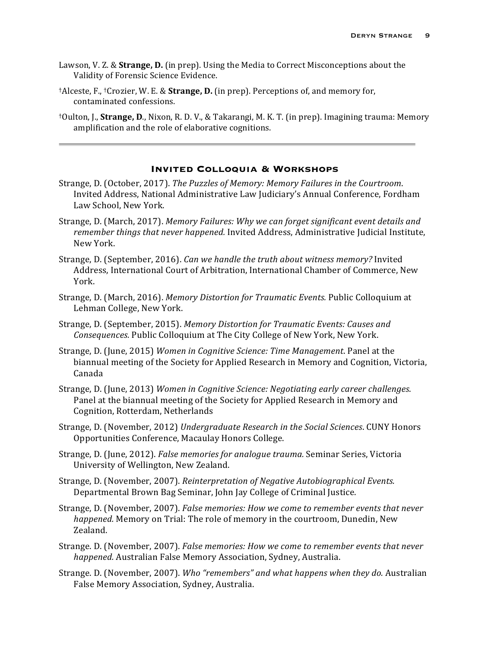- Lawson, V. Z. & **Strange, D.** (in prep). Using the Media to Correct Misconceptions about the Validity of Forensic Science Evidence.
- †Alceste, F., †Crozier, W. E. & **Strange, D.** (in prep). Perceptions of, and memory for, contaminated confessions.
- <sup>†</sup>Oulton, J., **Strange, D.**, Nixon, R. D. V., & Takarangi, M. K. T. (in prep). Imagining trauma: Memory amplification and the role of elaborative cognitions.

#### **Invited Colloquia & Workshops**

- Strange, D. (October, 2017). *The Puzzles of Memory: Memory Failures in the Courtroom.* Invited Address, National Administrative Law Judiciary's Annual Conference, Fordham Law School, New York.
- Strange, D. (March, 2017). *Memory Failures: Why we can forget significant event details and* remember things that never happened. Invited Address, Administrative Judicial Institute, New York.
- Strange, D. (September, 2016). *Can we handle the truth about witness memory?* Invited Address, International Court of Arbitration, International Chamber of Commerce, New York.
- Strange, D. (March, 2016). *Memory Distortion for Traumatic Events.* Public Colloquium at Lehman College, New York.
- Strange, D. (September, 2015). Memory Distortion for Traumatic Events: Causes and *Consequences.* Public Colloquium at The City College of New York, New York.
- Strange, D. (June, 2015) *Women in Cognitive Science: Time Management*. Panel at the biannual meeting of the Society for Applied Research in Memory and Cognition, Victoria, Canada
- Strange, D. (June, 2013) *Women in Cognitive Science: Negotiating early career challenges.* Panel at the biannual meeting of the Society for Applied Research in Memory and Cognition, Rotterdam, Netherlands
- Strange, D. (November, 2012) *Undergraduate Research in the Social Sciences*. CUNY Honors Opportunities Conference, Macaulay Honors College.
- Strange, D. (June, 2012). *False memories for analogue trauma*. Seminar Series, Victoria University of Wellington, New Zealand.
- Strange, D. (November, 2007). *Reinterpretation of Negative Autobiographical Events.* Departmental Brown Bag Seminar, John Jay College of Criminal Justice.
- Strange, D. (November, 2007). *False memories: How we come to remember events that never happened.* Memory on Trial: The role of memory in the courtroom, Dunedin, New Zealand.
- Strange. D. (November, 2007). *False memories: How we come to remember events that never happened.* Australian False Memory Association, Sydney, Australia.
- Strange. D. (November, 2007). *Who "remembers"* and what happens when they do. Australian False Memory Association, Sydney, Australia.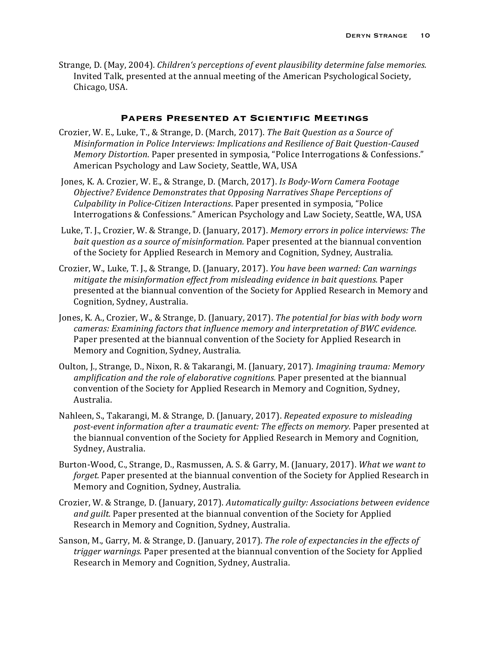Strange, D. (May, 2004). *Children's perceptions of event plausibility determine false memories.* Invited Talk, presented at the annual meeting of the American Psychological Society, Chicago, USA.

#### **Papers Presented at Scientific Meetings**

- Crozier, W. E., Luke, T., & Strange, D. (March, 2017). *The Bait Question as a Source of Misinformation in Police Interviews: Implications and Resilience of Bait Question-Caused Memory Distortion*. Paper presented in symposia, "Police Interrogations & Confessions." American Psychology and Law Society, Seattle, WA, USA
- Jones, K. A. Crozier, W. E., & Strange, D. (March, 2017). *Is Body-Worn Camera Footage Objective?* Evidence Demonstrates that Opposing Narratives Shape Perceptions of *Culpability in Police-Citizen Interactions*. Paper presented in symposia, "Police Interrogations & Confessions." American Psychology and Law Society, Seattle, WA, USA
- Luke, T. J., Crozier, W. & Strange, D. (January, 2017). *Memory errors in police interviews: The bait question as a source of misinformation.* Paper presented at the biannual convention of the Society for Applied Research in Memory and Cognition, Sydney, Australia.
- Crozier, W., Luke, T. J., & Strange, D. (January, 2017). *You have been warned: Can warnings mitigate the misinformation effect from misleading evidence in bait questions.* Paper presented at the biannual convention of the Society for Applied Research in Memory and Cognition, Sydney, Australia.
- Jones, K. A., Crozier, W., & Strange, D. (January, 2017). *The potential for bias with body worn cameras: Examining factors that influence memory and interpretation of BWC evidence.* Paper presented at the biannual convention of the Society for Applied Research in Memory and Cognition, Sydney, Australia.
- Oulton, J., Strange, D., Nixon, R. & Takarangi, M. (January, 2017). *Imagining trauma: Memory amplification and the role of elaborative cognitions.* Paper presented at the biannual convention of the Society for Applied Research in Memory and Cognition, Sydney, Australia.
- Nahleen, S., Takarangi, M. & Strange, D. (January, 2017). *Repeated exposure to misleading* post-event information after a traumatic event: The effects on memory. Paper presented at the biannual convention of the Society for Applied Research in Memory and Cognition, Sydney, Australia.
- Burton-Wood, C., Strange, D., Rasmussen, A. S. & Garry, M. (January, 2017). *What we want to forget.* Paper presented at the biannual convention of the Society for Applied Research in Memory and Cognition, Sydney, Australia.
- Crozier, W. & Strange, D. (January, 2017). *Automatically guilty: Associations between evidence and guilt.* Paper presented at the biannual convention of the Society for Applied Research in Memory and Cognition, Sydney, Australia.
- Sanson, M., Garry, M. & Strange, D. (January, 2017). The role of expectancies in the effects of *trigger* warnings. Paper presented at the biannual convention of the Society for Applied Research in Memory and Cognition, Sydney, Australia.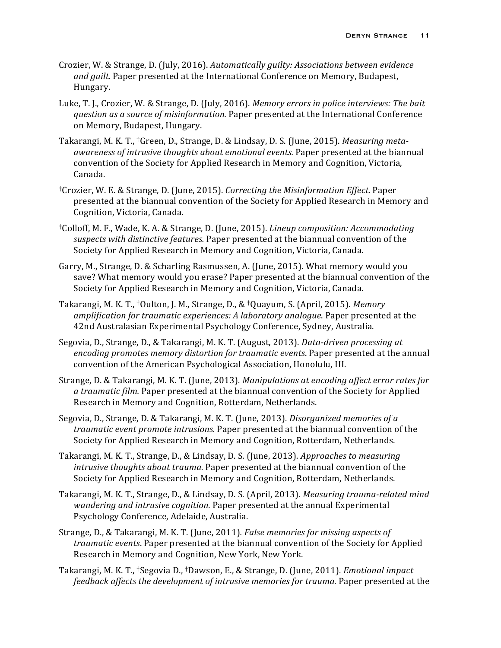- Crozier, W. & Strange, D. (July, 2016). *Automatically guilty: Associations between evidence* and guilt. Paper presented at the International Conference on Memory, Budapest, Hungary.
- Luke, T. J., Crozier, W. & Strange, D. (July, 2016). *Memory errors in police interviews: The bait question as a source of misinformation.* Paper presented at the International Conference on Memory, Budapest, Hungary.
- Takarangi, M. K. T., <sup>†</sup>Green, D., Strange, D. & Lindsay, D. S. (June, 2015). *Measuring metaawareness of intrusive thoughts about emotional events.* Paper presented at the biannual convention of the Society for Applied Research in Memory and Cognition, Victoria, Canada.
- †Crozier, W. E. & Strange, D. (June, 2015). *Correcting the Misinformation Effect.* Paper presented at the biannual convention of the Society for Applied Research in Memory and Cognition, Victoria, Canada.
- <sup>†</sup>Colloff, M. F., Wade, K. A. & Strange, D. (June, 2015). *Lineup composition: Accommodating* suspects with distinctive features. Paper presented at the biannual convention of the Society for Applied Research in Memory and Cognition, Victoria, Canada.
- Garry, M., Strange, D. & Scharling Rasmussen, A. (June, 2015). What memory would you save? What memory would you erase? Paper presented at the biannual convention of the Society for Applied Research in Memory and Cognition, Victoria, Canada.
- Takarangi, M. K. T., <sup>†</sup>Oulton, J. M., Strange, D., & <sup>†</sup>Quayum, S. (April, 2015). *Memory amplification for traumatic experiences:* A *laboratory analogue*. Paper presented at the 42nd Australasian Experimental Psychology Conference, Sydney, Australia.
- Segovia, D., Strange, D., & Takarangi, M. K. T. (August, 2013). *Data-driven processing at encoding promotes memory distortion for traumatic events*. Paper presented at the annual convention of the American Psychological Association, Honolulu, HI.
- Strange, D. & Takarangi, M. K. T. (June, 2013). Manipulations at encoding affect error rates for a traumatic film. Paper presented at the biannual convention of the Society for Applied Research in Memory and Cognition, Rotterdam, Netherlands.
- Segovia, D., Strange, D. & Takarangi, M. K. T. (June, 2013). *Disorganized memories of a traumatic event promote intrusions.* Paper presented at the biannual convention of the Society for Applied Research in Memory and Cognition, Rotterdam, Netherlands.
- Takarangi, M. K. T., Strange, D., & Lindsay, D. S. (June, 2013). *Approaches to measuring intrusive thoughts about trauma.* Paper presented at the biannual convention of the Society for Applied Research in Memory and Cognition, Rotterdam, Netherlands.
- Takarangi, M. K. T., Strange, D., & Lindsay, D. S. (April, 2013). *Measuring trauma-related mind wandering and intrusive cognition.* Paper presented at the annual Experimental Psychology Conference, Adelaide, Australia.
- Strange, D., & Takarangi, M. K. T. (June, 2011). False memories for missing aspects of *traumatic events*. Paper presented at the biannual convention of the Society for Applied Research in Memory and Cognition, New York, New York.
- Takarangi, M. K. T., <sup>†</sup>Segovia D., <sup>†</sup>Dawson, E., & Strange, D. (June, 2011). *Emotional impact feedback affects the development of intrusive memories for trauma.* Paper presented at the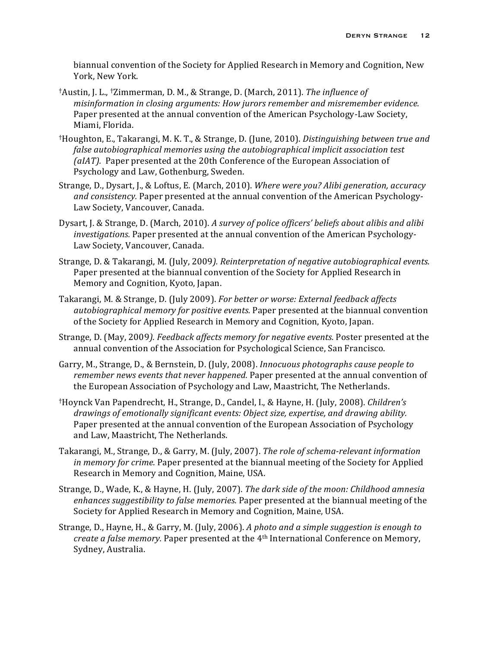biannual convention of the Society for Applied Research in Memory and Cognition, New York, New York.

- <sup>†</sup>Austin, J. L., <sup>†</sup>Zimmerman, D. M., & Strange, D. (March, 2011). *The influence of misinformation in closing arguments: How jurors remember and misremember evidence.* Paper presented at the annual convention of the American Psychology-Law Society, Miami, Florida.
- <sup>†</sup>Houghton, E., Takarangi, M. K. T., & Strange, D. (June, 2010). *Distinguishing between true and false autobiographical memories using the autobiographical implicit association test (aIAT).* Paper presented at the 20th Conference of the European Association of Psychology and Law, Gothenburg, Sweden.
- Strange, D., Dysart, J., & Loftus, E. (March, 2010). Where were you? Alibi generation, accuracy *and consistency.* Paper presented at the annual convention of the American Psychology-Law Society, Vancouver, Canada.
- Dysart, J. & Strange, D. (March, 2010). *A survey of police officers' beliefs about alibis and alibi investigations.* Paper presented at the annual convention of the American Psychology-Law Society, Vancouver, Canada.
- Strange, D. & Takarangi, M. (July, 2009). Reinterpretation of negative autobiographical events. Paper presented at the biannual convention of the Society for Applied Research in Memory and Cognition, Kyoto, Japan.
- Takarangi, M. & Strange, D. (July 2009). *For better or worse: External feedback affects* autobiographical memory for positive events. Paper presented at the biannual convention of the Society for Applied Research in Memory and Cognition, Kyoto, Japan.
- Strange, D. (May, 2009). Feedback affects memory for negative events. Poster presented at the annual convention of the Association for Psychological Science, San Francisco.
- Garry, M., Strange, D., & Bernstein, D. (July, 2008). *Innocuous photographs cause people to remember news events that never happened.* Paper presented at the annual convention of the European Association of Psychology and Law, Maastricht, The Netherlands.
- †Hoynck Van Papendrecht, H., Strange, D., Candel, I., & Hayne, H. (July, 2008). *Children's*  drawings of emotionally significant events: Object size, expertise, and drawing ability. Paper presented at the annual convention of the European Association of Psychology and Law, Maastricht, The Netherlands.
- Takarangi, M., Strange, D., & Garry, M. (July, 2007). *The role of schema-relevant information in memory for crime.* Paper presented at the biannual meeting of the Society for Applied Research in Memory and Cognition, Maine, USA.
- Strange, D., Wade, K., & Hayne, H. (July, 2007). *The dark side of the moon: Childhood amnesia* enhances suggestibility to false memories. Paper presented at the biannual meeting of the Society for Applied Research in Memory and Cognition, Maine, USA.
- Strange, D., Hayne, H., & Garry, M. (July, 2006). A photo and a simple suggestion is enough to *create a false memory.* Paper presented at the 4<sup>th</sup> International Conference on Memory, Sydney, Australia.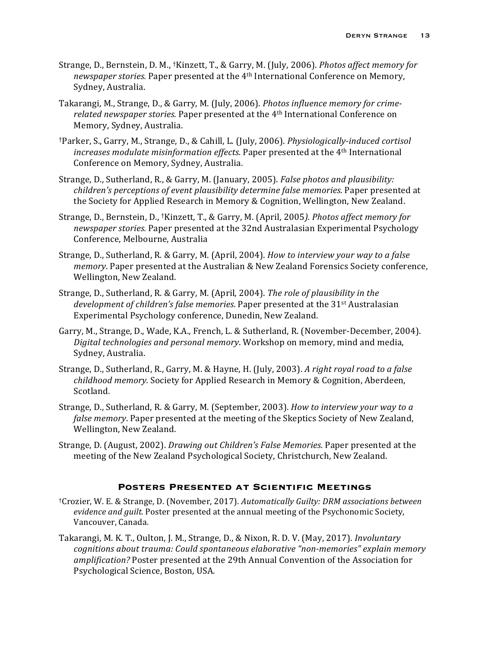- Strange, D., Bernstein, D. M., <sup>†</sup>Kinzett, T., & Garry, M. (July, 2006). *Photos affect memory for newspaper stories.* Paper presented at the 4<sup>th</sup> International Conference on Memory, Sydney, Australia.
- Takarangi, M., Strange, D., & Garry, M. (July, 2006). *Photos influence memory for crimerelated newspaper stories.* Paper presented at the 4<sup>th</sup> International Conference on Memory, Sydney, Australia.
- †Parker, S., Garry, M., Strange, D., & Cahill, L. (July, 2006). *Physiologically-induced cortisol increases modulate misinformation effects.* Paper presented at the 4<sup>th</sup> International Conference on Memory, Sydney, Australia.
- Strange, D., Sutherland, R., & Garry, M. (January, 2005). *False photos and plausibility: children's perceptions of event plausibility determine false memories.* Paper presented at the Society for Applied Research in Memory & Cognition, Wellington, New Zealand.
- Strange, D., Bernstein, D., <sup>†</sup>Kinzett, T., & Garry, M. (April, 2005). *Photos affect memory for newspaper stories.* Paper presented at the 32nd Australasian Experimental Psychology Conference, Melbourne, Australia
- Strange, D., Sutherland, R. & Garry, M. (April, 2004). *How to interview your way to a false memory*. Paper presented at the Australian & New Zealand Forensics Society conference, Wellington, New Zealand.
- Strange, D., Sutherland, R. & Garry, M. (April, 2004). *The role of plausibility in the development of children's false memories.* Paper presented at the 31<sup>st</sup> Australasian Experimental Psychology conference, Dunedin, New Zealand.
- Garry, M., Strange, D., Wade, K.A., French, L. & Sutherland, R. (November-December, 2004). *Digital technologies and personal memory*. Workshop on memory, mind and media, Sydney, Australia.
- Strange, D., Sutherland, R., Garry, M. & Hayne, H. (July, 2003). A right royal road to a false *childhood memory.* Society for Applied Research in Memory & Cognition, Aberdeen, Scotland.
- Strange, D., Sutherland, R. & Garry, M. (September, 2003). *How to interview your way to a* false memory. Paper presented at the meeting of the Skeptics Society of New Zealand, Wellington, New Zealand.
- Strange, D. (August, 2002). *Drawing out Children's False Memories*. Paper presented at the meeting of the New Zealand Psychological Society, Christchurch, New Zealand.

# **Posters Presented at Scientific Meetings**

- †Crozier, W. E. & Strange, D. (November, 2017). *Automatically Guilty: DRM associations between*  evidence and guilt. Poster presented at the annual meeting of the Psychonomic Society, Vancouver, Canada.
- Takarangi, M. K. T., Oulton, J. M., Strange, D., & Nixon, R. D. V. (May, 2017). *Involuntary* cognitions about trauma: Could spontaneous elaborative "non-memories" explain memory *amplification?* Poster presented at the 29th Annual Convention of the Association for Psychological Science, Boston, USA.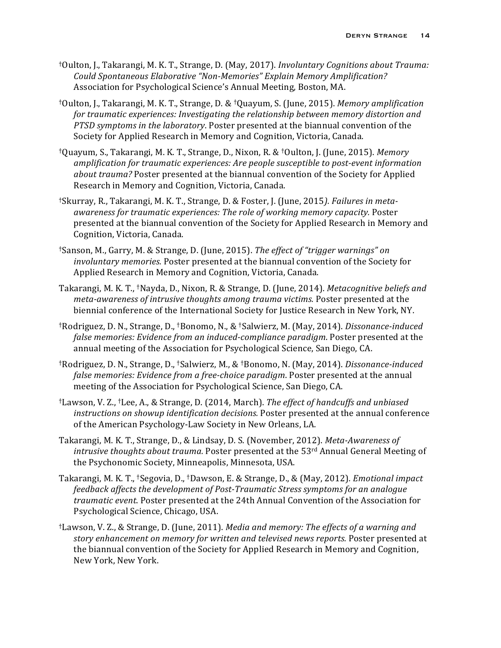- <sup>†</sup>Oulton, J., Takarangi, M. K. T., Strange, D. (May, 2017). *Involuntary Cognitions about Trauma: Could Spontaneous Elaborative "Non-Memories" Explain Memory Amplification?* Association for Psychological Science's Annual Meeting, Boston, MA.
- <sup>†</sup>Oulton, J., Takarangi, M. K. T., Strange, D. & <sup>†</sup>Quayum, S. (June, 2015). *Memory amplification* for traumatic experiences: Investigating the relationship between memory distortion and *PTSD* symptoms in the *laboratory*. Poster presented at the biannual convention of the Society for Applied Research in Memory and Cognition, Victoria, Canada.
- †Quayum, S., Takarangi, M. K. T., Strange, D., Nixon, R. & †Oulton, J. (June, 2015). *Memory amplification for traumatic experiences: Are people susceptible to post-event information about trauma?* Poster presented at the biannual convention of the Society for Applied Research in Memory and Cognition, Victoria, Canada.
- <sup>†</sup>Skurray, R., Takarangi, M. K. T., Strange, D. & Foster, J. (June, 2015). Failures in metaawareness for traumatic experiences: The role of working memory capacity. Poster presented at the biannual convention of the Society for Applied Research in Memory and Cognition, Victoria, Canada.
- <sup>†</sup>Sanson, M., Garry, M. & Strange, D. (June, 2015). *The effect of "trigger warnings" on involuntary memories.* Poster presented at the biannual convention of the Society for Applied Research in Memory and Cognition, Victoria, Canada.
- Takarangi, M. K. T., <sup>†</sup>Nayda, D., Nixon, R. & Strange, D. (June, 2014). *Metacognitive beliefs and meta-awareness of intrusive thoughts among trauma victims.* Poster presented at the biennial conference of the International Society for Justice Research in New York, NY.
- †Rodriguez, D. N., Strange, D., †Bonomo, N., & †Salwierz, M. (May, 2014). *Dissonance-induced false memories: Evidence from an induced-compliance paradigm*. Poster presented at the annual meeting of the Association for Psychological Science, San Diego, CA.
- <sup>†</sup>Rodriguez, D. N., Strange, D., <sup>†</sup>Salwierz, M., & <sup>†</sup>Bonomo, N. (May, 2014). *Dissonance-induced false memories: Evidence from a free-choice paradigm*. Poster presented at the annual meeting of the Association for Psychological Science, San Diego, CA.
- <sup>†</sup>Lawson, V. Z., <sup>†</sup>Lee, A., & Strange, D. (2014, March). *The effect of handcuffs and unbiased instructions on showup identification decisions.* Poster presented at the annual conference of the American Psychology-Law Society in New Orleans, LA.
- Takarangi, M. K. T., Strange, D., & Lindsay, D. S. (November, 2012). *Meta-Awareness of intrusive thoughts about trauma.* Poster presented at the 53<sup>rd</sup> Annual General Meeting of the Psychonomic Society, Minneapolis, Minnesota, USA.
- Takarangi, M. K. T., <sup>†</sup>Segovia, D., †Dawson, E. & Strange, D., & (May, 2012)*. Emotional impact feedback affects the development of Post-Traumatic Stress symptoms for an analogue traumatic event.* Poster presented at the 24th Annual Convention of the Association for Psychological Science, Chicago, USA.
- <sup>†</sup>Lawson, V. Z., & Strange, D. (June, 2011). *Media and memory: The effects of a warning and* story enhancement on memory for written and televised news reports. Poster presented at the biannual convention of the Society for Applied Research in Memory and Cognition, New York, New York.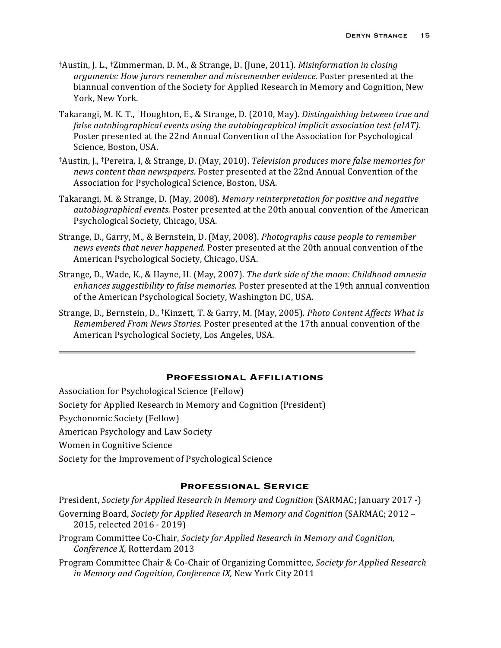- <sup>†</sup>Austin, J. L., <sup>†</sup>Zimmerman, D. M., & Strange, D. (June, 2011). *Misinformation in closing* arguments: How jurors remember and misremember evidence. Poster presented at the biannual convention of the Society for Applied Research in Memory and Cognition, New York, New York.
- Takarangi, M. K. T., <sup>†</sup>Houghton, E., & Strange, D. (2010, May). *Distinguishing between true and false autobiographical events using the autobiographical implicit association test (aIAT).* Poster presented at the 22nd Annual Convention of the Association for Psychological Science, Boston, USA.
- <sup>†</sup>Austin, J., <sup>†</sup>Pereira, I, & Strange, D. (May, 2010). *Television produces more false memories for* news content than newspapers. Poster presented at the 22nd Annual Convention of the Association for Psychological Science, Boston, USA.
- Takarangi, M. & Strange, D. (May, 2008). Memory reinterpretation for positive and negative *autobiographical events.* Poster presented at the 20th annual convention of the American Psychological Society, Chicago, USA.
- Strange, D., Garry, M., & Bernstein, D. (May, 2008). *Photographs cause people to remember news events that never happened.* Poster presented at the 20th annual convention of the American Psychological Society, Chicago, USA.
- Strange, D., Wade, K., & Hayne, H. (May, 2007). *The dark side of the moon: Childhood amnesia enhances suggestibility to false memories.* Poster presented at the 19th annual convention of the American Psychological Society, Washington DC, USA.
- Strange, D., Bernstein, D., <sup>†</sup>Kinzett, T. & Garry, M. (May, 2005). *Photo Content Affects What Is Remembered From News Stories.* Poster presented at the 17th annual convention of the American Psychological Society, Los Angeles, USA.

#### **Professional Affiliations**

Association for Psychological Science (Fellow)

Society for Applied Research in Memory and Cognition (President)

Psychonomic Society (Fellow)

- American Psychology and Law Society
- Women in Cognitive Science
- Society for the Improvement of Psychological Science

## **Professional Service**

President, *Society for Applied Research in Memory and Cognition* (SARMAC; January 2017 -)

- Governing Board, *Society for Applied Research in Memory and Cognition* (SARMAC; 2012 -2015, relected 2016 - 2019)
- Program Committee Co-Chair, *Society for Applied Research in Memory and Cognition*, *Conference X,* Rotterdam 2013
- Program Committee Chair & Co-Chair of Organizing Committee, *Society for Applied Research* in Memory and Cognition, Conference IX, New York City 2011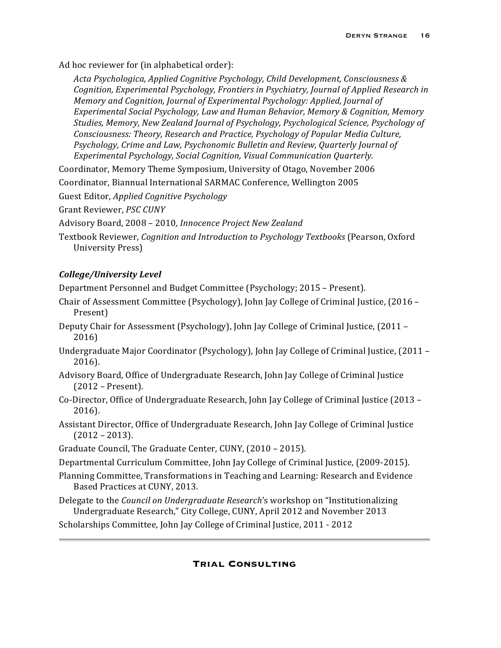Ad hoc reviewer for (in alphabetical order):

*Acta Psychologica, Applied Cognitive Psychology, Child Development, Consciousness & Cognition, Experimental Psychology, Frontiers in Psychiatry, Journal of Applied Research in Memory and Cognition, Journal of Experimental Psychology: Applied, Journal of* Experimental Social Psychology, Law and Human Behavior, Memory & Cognition, Memory Studies, Memory, New Zealand Journal of Psychology, Psychological Science, Psychology of *Consciousness: Theory, Research and Practice, Psychology of Popular Media Culture, Psychology, Crime and Law, Psychonomic Bulletin and Review, Quarterly Journal of Experimental Psychology, Social Cognition, Visual Communication Quarterly.*

Coordinator, Memory Theme Symposium, University of Otago, November 2006

Coordinator, Biannual International SARMAC Conference, Wellington 2005

Guest Editor, *Applied Cognitive Psychology* 

Grant Reviewer, *PSC CUNY* 

Advisory Board, 2008 - 2010, *Innocence Project New Zealand* 

Textbook Reviewer, *Cognition and Introduction to Psychology Textbooks* (Pearson, Oxford University Press)

# *College/University Level*

Department Personnel and Budget Committee (Psychology; 2015 – Present).

- Chair of Assessment Committee (Psychology), John Jay College of Criminal Justice,  $(2016 -$ Present)
- Deputy Chair for Assessment (Psychology), John Jay College of Criminal Justice, (2011 2016)
- Undergraduate Major Coordinator (Psychology), John Jay College of Criminal Justice, (2011 -2016).
- Advisory Board, Office of Undergraduate Research, John Jay College of Criminal Justice  $(2012 -$ Present).
- Co-Director, Office of Undergraduate Research, John Jay College of Criminal Justice (2013 2016).
- Assistant Director, Office of Undergraduate Research, John Jay College of Criminal Justice  $(2012 - 2013)$ .
- Graduate Council, The Graduate Center, CUNY, (2010 2015).
- Departmental Curriculum Committee, John Jay College of Criminal Justice, (2009-2015).
- Planning Committee, Transformations in Teaching and Learning: Research and Evidence Based Practices at CUNY, 2013.
- Delegate to the *Council on Undergraduate Research*'s workshop on "Institutionalizing" Undergraduate Research," City College, CUNY, April 2012 and November 2013

Scholarships Committee, John Jay College of Criminal Justice, 2011 - 2012